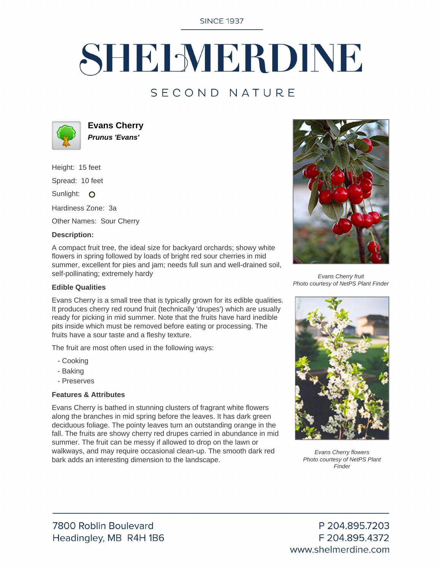**SINCE 1937** 

# SHELMERDINE

## SECOND NATURE



**Evans Cherry Prunus 'Evans'**

Height: 15 feet

Spread: 10 feet

Sunlight: O

Hardiness Zone: 3a

Other Names: Sour Cherry

#### **Description:**

A compact fruit tree, the ideal size for backyard orchards; showy white flowers in spring followed by loads of bright red sour cherries in mid summer, excellent for pies and jam; needs full sun and well-drained soil, self-pollinating; extremely hardy

#### **Edible Qualities**

Evans Cherry is a small tree that is typically grown for its edible qualities. It produces cherry red round fruit (technically 'drupes') which are usually ready for picking in mid summer. Note that the fruits have hard inedible pits inside which must be removed before eating or processing. The fruits have a sour taste and a fleshy texture.

The fruit are most often used in the following ways:

- Cooking
- Baking
- Preserves

### **Features & Attributes**

Evans Cherry is bathed in stunning clusters of fragrant white flowers along the branches in mid spring before the leaves. It has dark green deciduous foliage. The pointy leaves turn an outstanding orange in the fall. The fruits are showy cherry red drupes carried in abundance in mid summer. The fruit can be messy if allowed to drop on the lawn or walkways, and may require occasional clean-up. The smooth dark red bark adds an interesting dimension to the landscape.



Evans Cherry fruit Photo courtesy of NetPS Plant Finder



Evans Cherry flowers Photo courtesy of NetPS Plant Finder